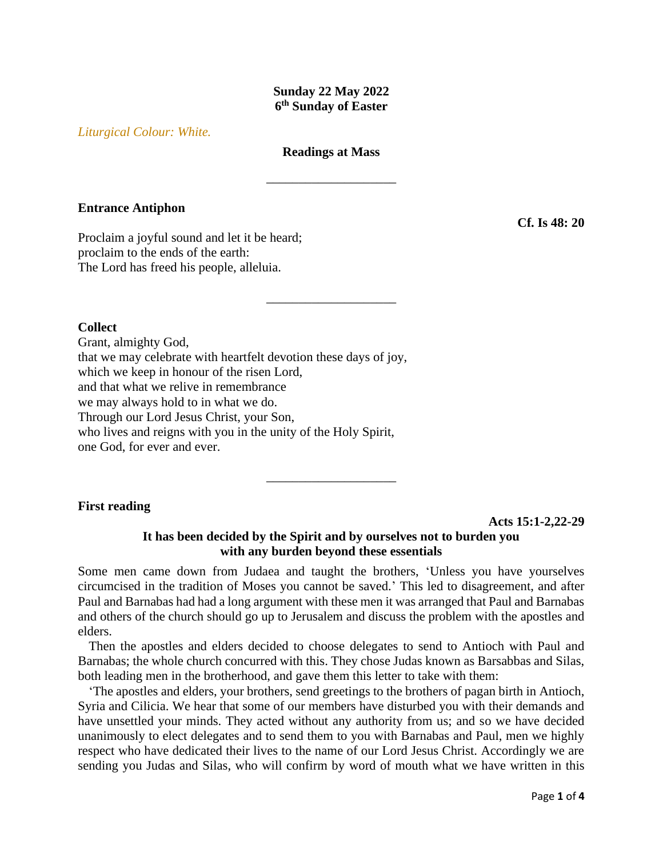## **Sunday 22 May 2022 6 th Sunday of Easter**

### *Liturgical Colour: White.*

**Readings at Mass**

\_\_\_\_\_\_\_\_\_\_\_\_\_\_\_\_\_\_\_\_

\_\_\_\_\_\_\_\_\_\_\_\_\_\_\_\_\_\_\_\_

## **Entrance Antiphon**

Proclaim a joyful sound and let it be heard; proclaim to the ends of the earth: The Lord has freed his people, alleluia.

# **Collect**

Grant, almighty God, that we may celebrate with heartfelt devotion these days of joy, which we keep in honour of the risen Lord, and that what we relive in remembrance we may always hold to in what we do. Through our Lord Jesus Christ, your Son, who lives and reigns with you in the unity of the Holy Spirit, one God, for ever and ever.

## **First reading**

**Cf. Is 48: 20**

## **Acts 15:1-2,22-29 It has been decided by the Spirit and by ourselves not to burden you with any burden beyond these essentials**

\_\_\_\_\_\_\_\_\_\_\_\_\_\_\_\_\_\_\_\_

Some men came down from Judaea and taught the brothers, 'Unless you have yourselves circumcised in the tradition of Moses you cannot be saved.' This led to disagreement, and after Paul and Barnabas had had a long argument with these men it was arranged that Paul and Barnabas and others of the church should go up to Jerusalem and discuss the problem with the apostles and elders.

Then the apostles and elders decided to choose delegates to send to Antioch with Paul and Barnabas; the whole church concurred with this. They chose Judas known as Barsabbas and Silas, both leading men in the brotherhood, and gave them this letter to take with them:

'The apostles and elders, your brothers, send greetings to the brothers of pagan birth in Antioch, Syria and Cilicia. We hear that some of our members have disturbed you with their demands and have unsettled your minds. They acted without any authority from us; and so we have decided unanimously to elect delegates and to send them to you with Barnabas and Paul, men we highly respect who have dedicated their lives to the name of our Lord Jesus Christ. Accordingly we are sending you Judas and Silas, who will confirm by word of mouth what we have written in this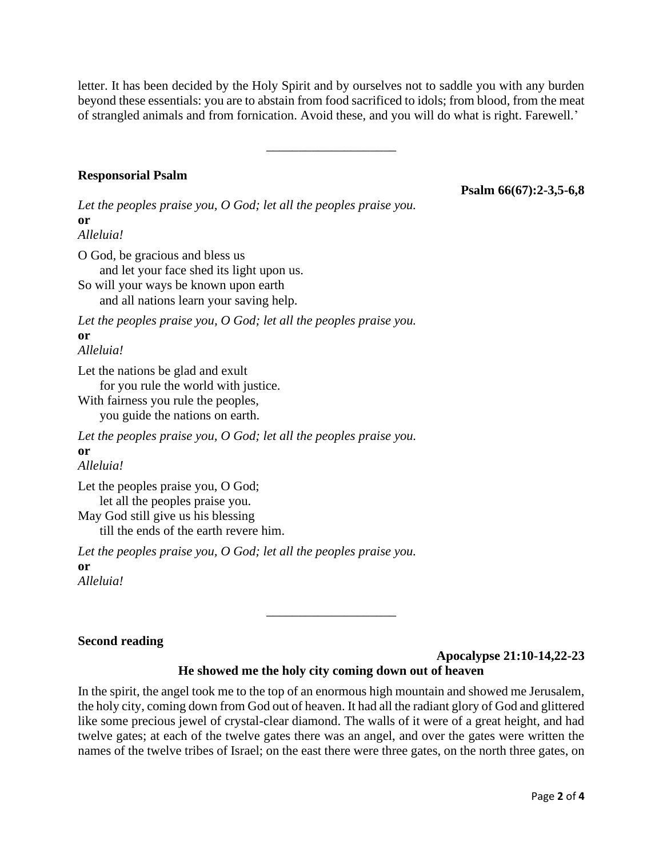letter. It has been decided by the Holy Spirit and by ourselves not to saddle you with any burden beyond these essentials: you are to abstain from food sacrificed to idols; from blood, from the meat of strangled animals and from fornication. Avoid these, and you will do what is right. Farewell.'

\_\_\_\_\_\_\_\_\_\_\_\_\_\_\_\_\_\_\_\_

## **Responsorial Psalm**

**Psalm 66(67):2-3,5-6,8**

*Let the peoples praise you, O God; let all the peoples praise you.* **or** *Alleluia!* O God, be gracious and bless us and let your face shed its light upon us. So will your ways be known upon earth and all nations learn your saving help. *Let the peoples praise you, O God; let all the peoples praise you.* **or** *Alleluia!* Let the nations be glad and exult for you rule the world with justice. With fairness you rule the peoples, you guide the nations on earth. *Let the peoples praise you, O God; let all the peoples praise you.* **or** *Alleluia!* Let the peoples praise you, O God; let all the peoples praise you. May God still give us his blessing till the ends of the earth revere him. *Let the peoples praise you, O God; let all the peoples praise you.* **or** *Alleluia!*

### **Second reading**

# **Apocalypse 21:10-14,22-23**

### **He showed me the holy city coming down out of heaven**

\_\_\_\_\_\_\_\_\_\_\_\_\_\_\_\_\_\_\_\_

In the spirit, the angel took me to the top of an enormous high mountain and showed me Jerusalem, the holy city, coming down from God out of heaven. It had all the radiant glory of God and glittered like some precious jewel of crystal-clear diamond. The walls of it were of a great height, and had twelve gates; at each of the twelve gates there was an angel, and over the gates were written the names of the twelve tribes of Israel; on the east there were three gates, on the north three gates, on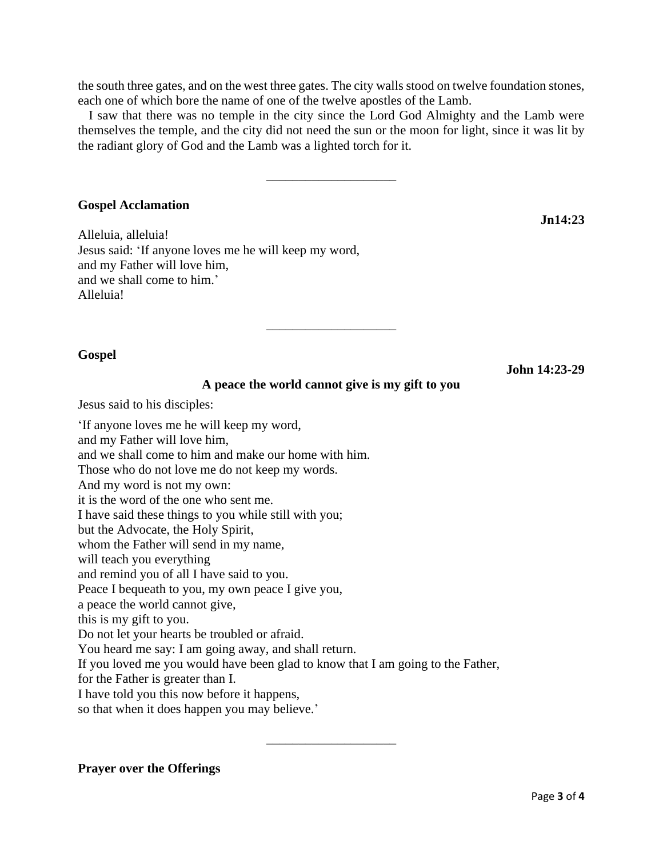the south three gates, and on the west three gates. The city walls stood on twelve foundation stones, each one of which bore the name of one of the twelve apostles of the Lamb.

I saw that there was no temple in the city since the Lord God Almighty and the Lamb were themselves the temple, and the city did not need the sun or the moon for light, since it was lit by the radiant glory of God and the Lamb was a lighted torch for it.

\_\_\_\_\_\_\_\_\_\_\_\_\_\_\_\_\_\_\_\_

### **Gospel Acclamation**

Alleluia, alleluia! Jesus said: 'If anyone loves me he will keep my word, and my Father will love him, and we shall come to him.' Alleluia!

#### **Gospel**

**John 14:23-29**

**Jn14:23**

## **A peace the world cannot give is my gift to you**

\_\_\_\_\_\_\_\_\_\_\_\_\_\_\_\_\_\_\_\_

Jesus said to his disciples:

'If anyone loves me he will keep my word, and my Father will love him, and we shall come to him and make our home with him. Those who do not love me do not keep my words. And my word is not my own: it is the word of the one who sent me. I have said these things to you while still with you; but the Advocate, the Holy Spirit, whom the Father will send in my name, will teach you everything and remind you of all I have said to you. Peace I bequeath to you, my own peace I give you, a peace the world cannot give, this is my gift to you. Do not let your hearts be troubled or afraid. You heard me say: I am going away, and shall return. If you loved me you would have been glad to know that I am going to the Father, for the Father is greater than I. I have told you this now before it happens, so that when it does happen you may believe.'

\_\_\_\_\_\_\_\_\_\_\_\_\_\_\_\_\_\_\_\_

**Prayer over the Offerings**